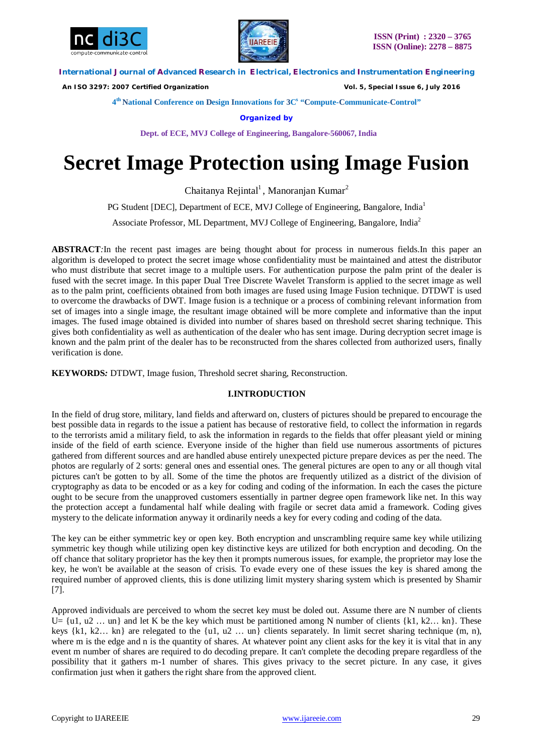



 *An ISO 3297: 2007 Certified Organization Vol. 5, Special Issue 6, July 2016*

**4 th National Conference on Design Innovations for 3C s "Compute-Communicate-Control"** 

**Organized by**

**Dept. of ECE, MVJ College of Engineering, Bangalore-560067, India**

# **Secret Image Protection using Image Fusion**

Chaitanya Rejintal<sup>1</sup>, Manoranjan Kumar<sup>2</sup>

PG Student [DEC], Department of ECE, MVJ College of Engineering, Bangalore, India<sup>1</sup>

Associate Professor, ML Department, MVJ College of Engineering, Bangalore, India<sup>2</sup>

**ABSTRACT***:*In the recent past images are being thought about for process in numerous fields.In this paper an algorithm is developed to protect the secret image whose confidentiality must be maintained and attest the distributor who must distribute that secret image to a multiple users. For authentication purpose the palm print of the dealer is fused with the secret image. In this paper Dual Tree Discrete Wavelet Transform is applied to the secret image as well as to the palm print, coefficients obtained from both images are fused using Image Fusion technique. DTDWT is used to overcome the drawbacks of DWT. Image fusion is a technique or a process of combining relevant information from set of images into a single image, the resultant image obtained will be more complete and informative than the input images. The fused image obtained is divided into number of shares based on threshold secret sharing technique. This gives both confidentiality as well as authentication of the dealer who has sent image. During decryption secret image is known and the palm print of the dealer has to be reconstructed from the shares collected from authorized users, finally verification is done.

**KEYWORDS***:* DTDWT, Image fusion, Threshold secret sharing, Reconstruction.

# **I.INTRODUCTION**

In the field of drug store, military, land fields and afterward on, clusters of pictures should be prepared to encourage the best possible data in regards to the issue a patient has because of restorative field, to collect the information in regards to the terrorists amid a military field, to ask the information in regards to the fields that offer pleasant yield or mining inside of the field of earth science. Everyone inside of the higher than field use numerous assortments of pictures gathered from different sources and are handled abuse entirely unexpected picture prepare devices as per the need. The photos are regularly of 2 sorts: general ones and essential ones. The general pictures are open to any or all though vital pictures can't be gotten to by all. Some of the time the photos are frequently utilized as a district of the division of cryptography as data to be encoded or as a key for coding and coding of the information. In each the cases the picture ought to be secure from the unapproved customers essentially in partner degree open framework like net. In this way the protection accept a fundamental half while dealing with fragile or secret data amid a framework. Coding gives mystery to the delicate information anyway it ordinarily needs a key for every coding and coding of the data.

The key can be either symmetric key or open key. Both encryption and unscrambling require same key while utilizing symmetric key though while utilizing open key distinctive keys are utilized for both encryption and decoding. On the off chance that solitary proprietor has the key then it prompts numerous issues, for example, the proprietor may lose the key, he won't be available at the season of crisis. To evade every one of these issues the key is shared among the required number of approved clients, this is done utilizing limit mystery sharing system which is presented by Shamir [7].

Approved individuals are perceived to whom the secret key must be doled out. Assume there are N number of clients U=  $\{u1, u2 \dots un\}$  and let K be the key which must be partitioned among N number of clients  $\{k1, k2 \dots kn\}$ . These keys  $\{k1, k2... \text{ kn}\}\$  are relegated to the  $\{u1, u2... \text{ un}\}\$  clients separately. In limit secret sharing technique  $(m, n)$ , where m is the edge and n is the quantity of shares. At whatever point any client asks for the key it is vital that in any event m number of shares are required to do decoding prepare. It can't complete the decoding prepare regardless of the possibility that it gathers m-1 number of shares. This gives privacy to the secret picture. In any case, it gives confirmation just when it gathers the right share from the approved client.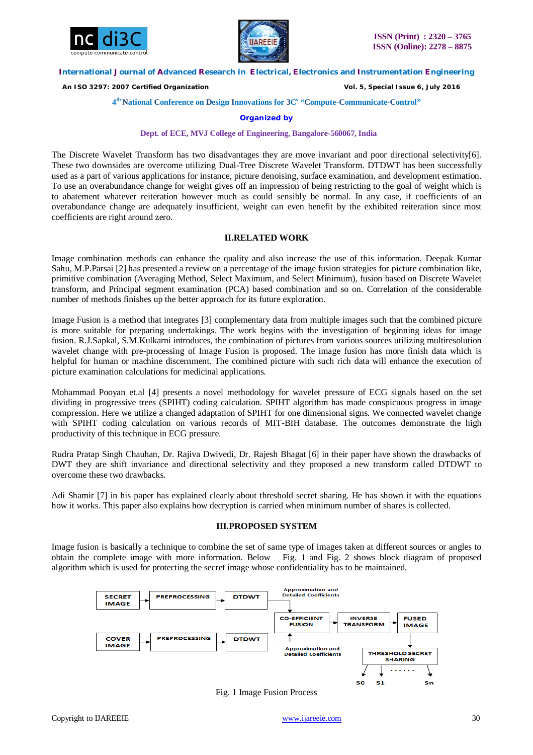



 *An ISO 3297: 2007 Certified Organization Vol. 5, Special Issue 6, July 2016*

#### **4 th National Conference on Design Innovations for 3C s "Compute-Communicate-Control"**

#### **Organized by**

#### **Dept. of ECE, MVJ College of Engineering, Bangalore-560067, India**

The Discrete Wavelet Transform has two disadvantages they are move invariant and poor directional selectivity[6]. These two downsides are overcome utilizing Dual-Tree Discrete Wavelet Transform. DTDWT has been successfully used as a part of various applications for instance, picture denoising, surface examination, and development estimation. To use an overabundance change for weight gives off an impression of being restricting to the goal of weight which is to abatement whatever reiteration however much as could sensibly be normal. In any case, if coefficients of an overabundance change are adequately insufficient, weight can even benefit by the exhibited reiteration since most coefficients are right around zero.

#### **II.RELATED WORK**

Image combination methods can enhance the quality and also increase the use of this information. Deepak Kumar Sahu, M.P.Parsai [2] has presented a review on a percentage of the image fusion strategies for picture combination like, primitive combination (Averaging Method, Select Maximum, and Select Minimum), fusion based on Discrete Wavelet transform, and Principal segment examination (PCA) based combination and so on. Correlation of the considerable number of methods finishes up the better approach for its future exploration.

Image Fusion is a method that integrates [3] complementary data from multiple images such that the combined picture is more suitable for preparing undertakings. The work begins with the investigation of beginning ideas for image fusion. R.J.Sapkal, S.M.Kulkarni introduces, the combination of pictures from various sources utilizing multiresolution wavelet change with pre-processing of Image Fusion is proposed. The image fusion has more finish data which is helpful for human or machine discernment. The combined picture with such rich data will enhance the execution of picture examination calculations for medicinal applications.

Mohammad Pooyan et.al [4] presents a novel methodology for wavelet pressure of ECG signals based on the set dividing in progressive trees (SPIHT) coding calculation. SPIHT algorithm has made conspicuous progress in image compression. Here we utilize a changed adaptation of SPIHT for one dimensional signs. We connected wavelet change with SPIHT coding calculation on various records of MIT-BIH database. The outcomes demonstrate the high productivity of this technique in ECG pressure.

Rudra Pratap Singh Chauhan, Dr. Rajiva Dwivedi, Dr. Rajesh Bhagat [6] in their paper have shown the drawbacks of DWT they are shift invariance and directional selectivity and they proposed a new transform called DTDWT to overcome these two drawbacks.

Adi Shamir [7] in his paper has explained clearly about threshold secret sharing. He has shown it with the equations how it works. This paper also explains how decryption is carried when minimum number of shares is collected.

## **III.PROPOSED SYSTEM**

Image fusion is basically a technique to combine the set of same type of images taken at different sources or angles to obtain the complete image with more information. Below Fig. 1 and Fig. 2 shows block diagram of proposed algorithm which is used for protecting the secret image whose confidentiality has to be maintained.



Fig. 1 Image Fusion Process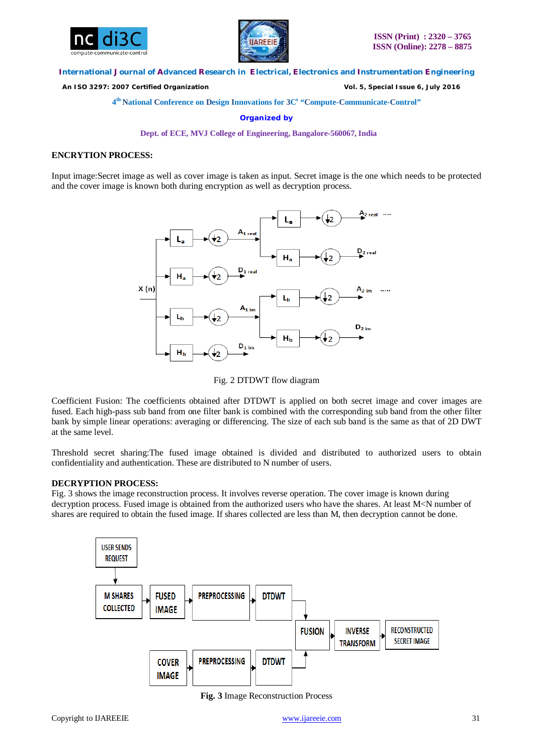



 *An ISO 3297: 2007 Certified Organization Vol. 5, Special Issue 6, July 2016*

**4 th National Conference on Design Innovations for 3C s "Compute-Communicate-Control"** 

**Organized by**

**Dept. of ECE, MVJ College of Engineering, Bangalore-560067, India**

# **ENCRYTION PROCESS:**

Input image:Secret image as well as cover image is taken as input. Secret image is the one which needs to be protected and the cover image is known both during encryption as well as decryption process.



Fig. 2 DTDWT flow diagram

Coefficient Fusion: The coefficients obtained after DTDWT is applied on both secret image and cover images are fused. Each high-pass sub band from one filter bank is combined with the corresponding sub band from the other filter bank by simple linear operations: averaging or differencing. The size of each sub band is the same as that of 2D DWT at the same level.

Threshold secret sharing:The fused image obtained is divided and distributed to authorized users to obtain confidentiality and authentication. These are distributed to N number of users.

# **DECRYPTION PROCESS:**

Fig. 3 shows the image reconstruction process. It involves reverse operation. The cover image is known during decryption process. Fused image is obtained from the authorized users who have the shares. At least M<N number of shares are required to obtain the fused image. If shares collected are less than M, then decryption cannot be done.



**Fig. 3** Image Reconstruction Process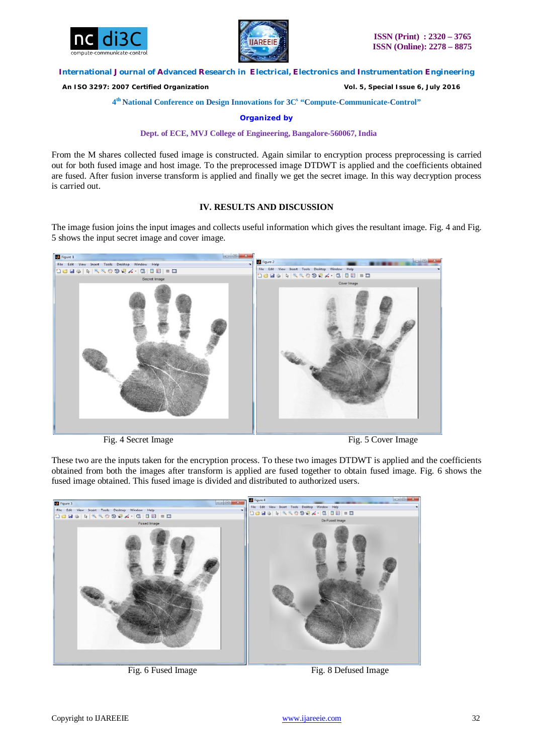



 *An ISO 3297: 2007 Certified Organization Vol. 5, Special Issue 6, July 2016*

**4 th National Conference on Design Innovations for 3C s "Compute-Communicate-Control"** 

**Organized by**

**Dept. of ECE, MVJ College of Engineering, Bangalore-560067, India**

From the M shares collected fused image is constructed. Again similar to encryption process preprocessing is carried out for both fused image and host image. To the preprocessed image DTDWT is applied and the coefficients obtained are fused. After fusion inverse transform is applied and finally we get the secret image. In this way decryption process is carried out.

# **IV. RESULTS AND DISCUSSION**

The image fusion joins the input images and collects useful information which gives the resultant image. Fig. 4 and Fig. 5 shows the input secret image and cover image.



Fig. 4 Secret Image Fig. 5 Cover Image

These two are the inputs taken for the encryption process. To these two images DTDWT is applied and the coefficients obtained from both the images after transform is applied are fused together to obtain fused image. Fig. 6 shows the fused image obtained. This fused image is divided and distributed to authorized users.



Fig. 6 Fused Image Fig. 8 Defused Image